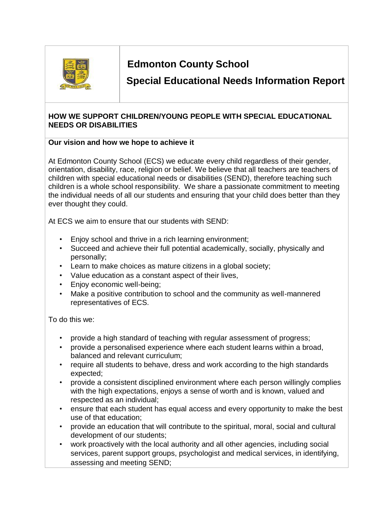

# **Edmonton County School**

**Special Educational Needs Information Report** 

### **HOW WE SUPPORT CHILDREN/YOUNG PEOPLE WITH SPECIAL EDUCATIONAL NEEDS OR DISABILITIES**

#### **Our vision and how we hope to achieve it**

At Edmonton County School (ECS) we educate every child regardless of their gender, orientation, disability, race, religion or belief. We believe that all teachers are teachers of children with special educational needs or disabilities (SEND), therefore teaching such children is a whole school responsibility. We share a passionate commitment to meeting the individual needs of all our students and ensuring that your child does better than they ever thought they could.

At ECS we aim to ensure that our students with SEND:

- Enjoy school and thrive in a rich learning environment;
- Succeed and achieve their full potential academically, socially, physically and personally;
- Learn to make choices as mature citizens in a global society;
- Value education as a constant aspect of their lives,
- Enjoy economic well-being;
- Make a positive contribution to school and the community as well-mannered representatives of ECS.

To do this we:

- provide a high standard of teaching with regular assessment of progress;
- provide a personalised experience where each student learns within a broad, balanced and relevant curriculum;
- require all students to behave, dress and work according to the high standards expected;
- provide a consistent disciplined environment where each person willingly complies with the high expectations, enjoys a sense of worth and is known, valued and respected as an individual;
- ensure that each student has equal access and every opportunity to make the best use of that education;
- provide an education that will contribute to the spiritual, moral, social and cultural development of our students;
- work proactively with the local authority and all other agencies, including social services, parent support groups, psychologist and medical services, in identifying, assessing and meeting SEND;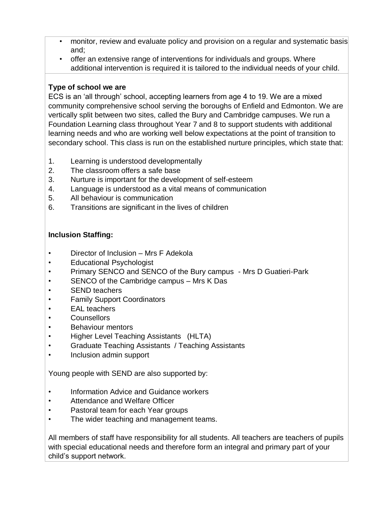- monitor, review and evaluate policy and provision on a regular and systematic basis and;
- offer an extensive range of interventions for individuals and groups. Where additional intervention is required it is tailored to the individual needs of your child.

### **Type of school we are**

ECS is an 'all through' school, accepting learners from age 4 to 19. We are a mixed community comprehensive school serving the boroughs of Enfield and Edmonton. We are vertically split between two sites, called the Bury and Cambridge campuses. We run a Foundation Learning class throughout Year 7 and 8 to support students with additional learning needs and who are working well below expectations at the point of transition to secondary school. This class is run on the established nurture principles, which state that:

- 1. Learning is understood developmentally
- 2. The classroom offers a safe base
- 3. Nurture is important for the development of self-esteem
- 4. Language is understood as a vital means of communication
- 5. All behaviour is communication
- 6. Transitions are significant in the lives of children

### **Inclusion Staffing:**

- Director of Inclusion Mrs F Adekola
- Educational Psychologist
- Primary SENCO and SENCO of the Bury campus Mrs D Guatieri-Park
- SENCO of the Cambridge campus Mrs K Das
- SEND teachers
- **Family Support Coordinators**
- EAL teachers
- Counsellors
- Behaviour mentors
- Higher Level Teaching Assistants (HLTA)
- Graduate Teaching Assistants / Teaching Assistants
- Inclusion admin support

Young people with SEND are also supported by:

- Information Advice and Guidance workers
- Attendance and Welfare Officer
- Pastoral team for each Year groups
- The wider teaching and management teams.

All members of staff have responsibility for all students. All teachers are teachers of pupils with special educational needs and therefore form an integral and primary part of your child's support network.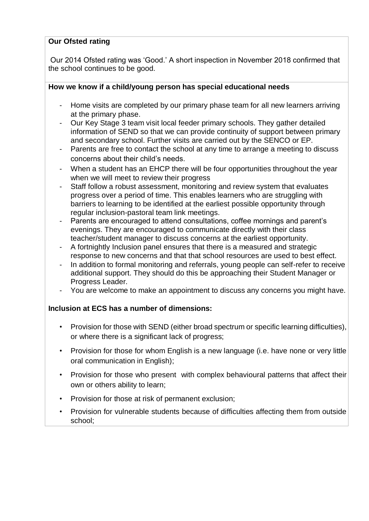### **Our Ofsted rating**

Our 2014 Ofsted rating was 'Good.' A short inspection in November 2018 confirmed that the school continues to be good.

#### **How we know if a child/young person has special educational needs**

- Home visits are completed by our primary phase team for all new learners arriving at the primary phase.
- Our Key Stage 3 team visit local feeder primary schools. They gather detailed information of SEND so that we can provide continuity of support between primary and secondary school. Further visits are carried out by the SENCO or EP.
- Parents are free to contact the school at any time to arrange a meeting to discuss concerns about their child's needs.
- When a student has an EHCP there will be four opportunities throughout the year when we will meet to review their progress
- Staff follow a robust assessment, monitoring and review system that evaluates progress over a period of time. This enables learners who are struggling with barriers to learning to be identified at the earliest possible opportunity through regular inclusion-pastoral team link meetings.
- Parents are encouraged to attend consultations, coffee mornings and parent's evenings. They are encouraged to communicate directly with their class teacher/student manager to discuss concerns at the earliest opportunity.
- A fortnightly Inclusion panel ensures that there is a measured and strategic response to new concerns and that that school resources are used to best effect.
- In addition to formal monitoring and referrals, young people can self-refer to receive additional support. They should do this be approaching their Student Manager or Progress Leader.
- You are welcome to make an appointment to discuss any concerns you might have.

#### **Inclusion at ECS has a number of dimensions:**

- Provision for those with SEND (either broad spectrum or specific learning difficulties), or where there is a significant lack of progress;
- Provision for those for whom English is a new language (i.e. have none or very little oral communication in English);
- Provision for those who present with complex behavioural patterns that affect their own or others ability to learn;
- Provision for those at risk of permanent exclusion;
- Provision for vulnerable students because of difficulties affecting them from outside school;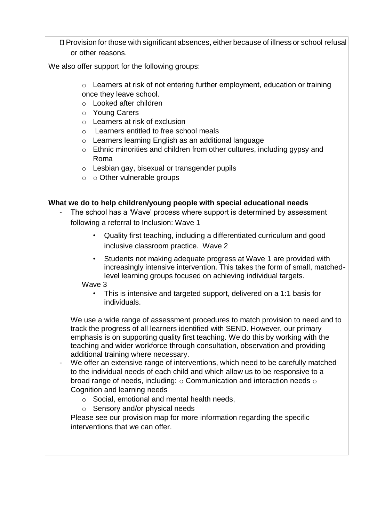Provision for those with significant absences, either because of illness or school refusal or other reasons.

We also offer support for the following groups:

- o Learners at risk of not entering further employment, education or training once they leave school.
- o Looked after children
- o Young Carers
- o Learners at risk of exclusion
- o Learners entitled to free school meals
- o Learners learning English as an additional language
- o Ethnic minorities and children from other cultures, including gypsy and Roma
- o Lesbian gay, bisexual or transgender pupils
- o o Other vulnerable groups

#### **What we do to help children/young people with special educational needs**

- The school has a 'Wave' process where support is determined by assessment following a referral to Inclusion: Wave 1
	- Quality first teaching, including a differentiated curriculum and good inclusive classroom practice. Wave 2
	- Students not making adequate progress at Wave 1 are provided with increasingly intensive intervention. This takes the form of small, matchedlevel learning groups focused on achieving individual targets.

Wave 3

• This is intensive and targeted support, delivered on a 1:1 basis for individuals.

We use a wide range of assessment procedures to match provision to need and to track the progress of all learners identified with SEND. However, our primary emphasis is on supporting quality first teaching. We do this by working with the teaching and wider workforce through consultation, observation and providing additional training where necessary.

- We offer an extensive range of interventions, which need to be carefully matched to the individual needs of each child and which allow us to be responsive to a broad range of needs, including:  $\circ$  Communication and interaction needs  $\circ$ Cognition and learning needs
	- o Social, emotional and mental health needs,
	- o Sensory and/or physical needs

Please see our provision map for more information regarding the specific interventions that we can offer.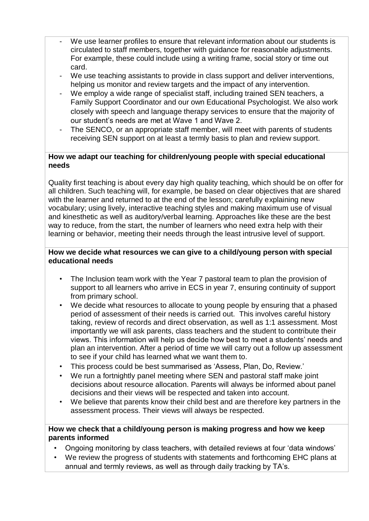- We use learner profiles to ensure that relevant information about our students is circulated to staff members, together with guidance for reasonable adjustments. For example, these could include using a writing frame, social story or time out card.
- We use teaching assistants to provide in class support and deliver interventions, helping us monitor and review targets and the impact of any intervention.
- We employ a wide range of specialist staff, including trained SEN teachers, a Family Support Coordinator and our own Educational Psychologist. We also work closely with speech and language therapy services to ensure that the majority of our student's needs are met at Wave 1 and Wave 2.
- The SENCO, or an appropriate staff member, will meet with parents of students receiving SEN support on at least a termly basis to plan and review support.

#### **How we adapt our teaching for children/young people with special educational needs**

Quality first teaching is about every day high quality teaching, which should be on offer for all children. Such teaching will, for example, be based on clear objectives that are shared with the learner and returned to at the end of the lesson; carefully explaining new vocabulary; using lively, interactive teaching styles and making maximum use of visual and kinesthetic as well as auditory/verbal learning. Approaches like these are the best way to reduce, from the start, the number of learners who need extra help with their learning or behavior, meeting their needs through the least intrusive level of support.

#### **How we decide what resources we can give to a child/young person with special educational needs**

- The Inclusion team work with the Year 7 pastoral team to plan the provision of support to all learners who arrive in ECS in year 7, ensuring continuity of support from primary school.
- We decide what resources to allocate to young people by ensuring that a phased period of assessment of their needs is carried out. This involves careful history taking, review of records and direct observation, as well as 1:1 assessment. Most importantly we will ask parents, class teachers and the student to contribute their views. This information will help us decide how best to meet a students' needs and plan an intervention. After a period of time we will carry out a follow up assessment to see if your child has learned what we want them to.
- This process could be best summarised as 'Assess, Plan, Do, Review.'
- We run a fortnightly panel meeting where SEN and pastoral staff make joint decisions about resource allocation. Parents will always be informed about panel decisions and their views will be respected and taken into account.
- We believe that parents know their child best and are therefore key partners in the assessment process. Their views will always be respected.

#### **How we check that a child/young person is making progress and how we keep parents informed**

- Ongoing monitoring by class teachers, with detailed reviews at four 'data windows'
- We review the progress of students with statements and forthcoming EHC plans at annual and termly reviews, as well as through daily tracking by TA's.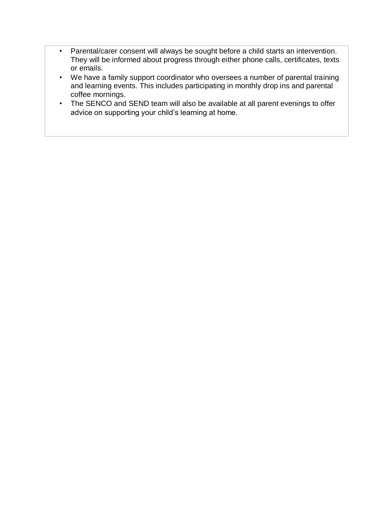- Parental/carer consent will always be sought before a child starts an intervention. They will be informed about progress through either phone calls, certificates, texts or emails.
- We have a family support coordinator who oversees a number of parental training and learning events. This includes participating in monthly drop ins and parental coffee mornings.
- The SENCO and SEND team will also be available at all parent evenings to offer advice on supporting your child's learning at home.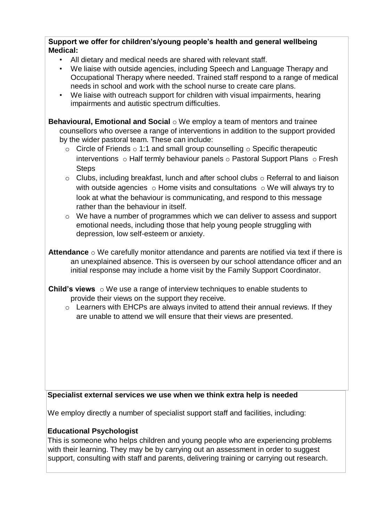#### **Support we offer for children's/young people's health and general wellbeing Medical:**

- All dietary and medical needs are shared with relevant staff.
- We liaise with outside agencies, including Speech and Language Therapy and Occupational Therapy where needed. Trained staff respond to a range of medical needs in school and work with the school nurse to create care plans.
- We liaise with outreach support for children with visual impairments, hearing impairments and autistic spectrum difficulties.

**Behavioural, Emotional and Social** o We employ a team of mentors and trainee counsellors who oversee a range of interventions in addition to the support provided by the wider pastoral team. These can include:

- $\circ$  Circle of Friends  $\circ$  1:1 and small group counselling  $\circ$  Specific therapeutic interventions  $\circ$  Half termly behaviour panels  $\circ$  Pastoral Support Plans  $\circ$  Fresh **Steps**
- $\circ$  Clubs, including breakfast, lunch and after school clubs  $\circ$  Referral to and liaison with outside agencies  $\circ$  Home visits and consultations  $\circ$  We will always try to look at what the behaviour is communicating, and respond to this message rather than the behaviour in itself.
- o We have a number of programmes which we can deliver to assess and support emotional needs, including those that help young people struggling with depression, low self-esteem or anxiety.

**Attendance** o We carefully monitor attendance and parents are notified via text if there is an unexplained absence. This is overseen by our school attendance officer and an initial response may include a home visit by the Family Support Coordinator.

**Child's views** o We use a range of interview techniques to enable students to provide their views on the support they receive.

o Learners with EHCPs are always invited to attend their annual reviews. If they are unable to attend we will ensure that their views are presented.

#### **Specialist external services we use when we think extra help is needed**

We employ directly a number of specialist support staff and facilities, including:

#### **Educational Psychologist**

This is someone who helps children and young people who are experiencing problems with their learning. They may be by carrying out an assessment in order to suggest support, consulting with staff and parents, delivering training or carrying out research.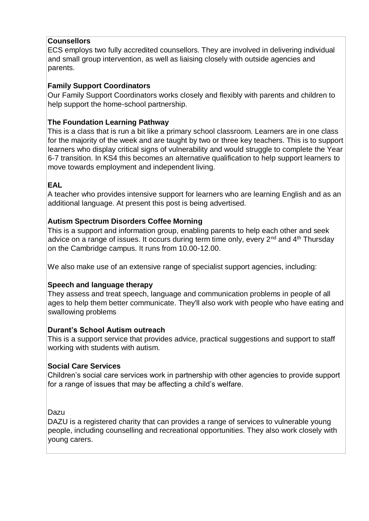# **Counsellors**

ECS employs two fully accredited counsellors. They are involved in delivering individual and small group intervention, as well as liaising closely with outside agencies and parents.

# **Family Support Coordinators**

Our Family Support Coordinators works closely and flexibly with parents and children to help support the home-school partnership.

# **The Foundation Learning Pathway**

This is a class that is run a bit like a primary school classroom. Learners are in one class for the majority of the week and are taught by two or three key teachers. This is to support learners who display critical signs of vulnerability and would struggle to complete the Year 6-7 transition. In KS4 this becomes an alternative qualification to help support learners to move towards employment and independent living.

# **EAL**

A teacher who provides intensive support for learners who are learning English and as an additional language. At present this post is being advertised.

# **Autism Spectrum Disorders Coffee Morning**

This is a support and information group, enabling parents to help each other and seek advice on a range of issues. It occurs during term time only, every  $2^{nd}$  and  $4^{th}$  Thursday on the Cambridge campus. It runs from 10.00-12.00.

We also make use of an extensive range of specialist support agencies, including:

# **Speech and language therapy**

They assess and treat speech, language and communication problems in people of all ages to help them better communicate. They'll also work with people who have eating and swallowing problems

# **Durant's School Autism outreach**

This is a support service that provides advice, practical suggestions and support to staff working with students with autism.

# **Social Care Services**

Children's social care services work in partnership with other agencies to provide support for a range of issues that may be affecting a child's welfare.

Dazu

DAZU is a registered charity that can provides a range of services to vulnerable young people, including counselling and recreational opportunities. They also work closely with young carers.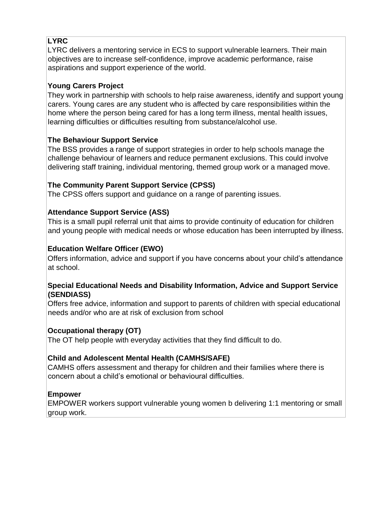# **LYRC**

LYRC delivers a mentoring service in ECS to support vulnerable learners. Their main objectives are to increase self-confidence, improve academic performance, raise aspirations and support experience of the world.

# **Young Carers Project**

They work in partnership with schools to help raise awareness, identify and support young carers. Young cares are any student who is affected by care responsibilities within the home where the person being cared for has a long term illness, mental health issues, learning difficulties or difficulties resulting from substance/alcohol use.

# **The Behaviour Support Service**

The BSS provides a range of support strategies in order to help schools manage the challenge behaviour of learners and reduce permanent exclusions. This could involve delivering staff training, individual mentoring, themed group work or a managed move.

# **The Community Parent Support Service (CPSS)**

The CPSS offers support and guidance on a range of parenting issues.

# **Attendance Support Service (ASS)**

This is a small pupil referral unit that aims to provide continuity of education for children and young people with medical needs or whose education has been interrupted by illness.

# **Education Welfare Officer (EWO)**

Offers information, advice and support if you have concerns about your child's attendance at school.

### **Special Educational Needs and Disability Information, Advice and Support Service (SENDIASS)**

Offers free advice, information and support to parents of children with special educational needs and/or who are at risk of exclusion from school

# **Occupational therapy (OT)**

The OT help people with everyday activities that they find difficult to do.

# **Child and Adolescent Mental Health (CAMHS/SAFE)**

CAMHS offers assessment and therapy for children and their families where there is concern about a child's emotional or behavioural difficulties.

#### **Empower**

EMPOWER workers support vulnerable young women b delivering 1:1 mentoring or small group work.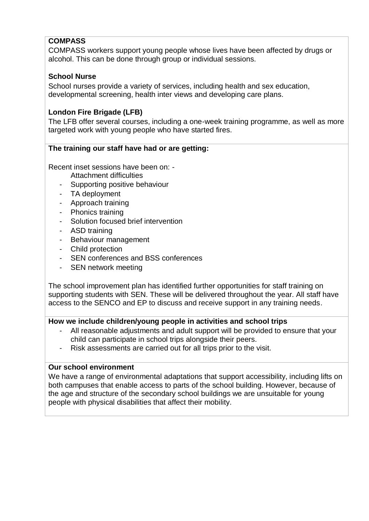# **COMPASS**

COMPASS workers support young people whose lives have been affected by drugs or alcohol. This can be done through group or individual sessions.

#### **School Nurse**

School nurses provide a variety of services, including health and sex education, developmental screening, health inter views and developing care plans.

#### **London Fire Brigade (LFB)**

The LFB offer several courses, including a one-week training programme, as well as more targeted work with young people who have started fires.

#### **The training our staff have had or are getting:**

Recent inset sessions have been on: -

- Attachment difficulties
- Supporting positive behaviour
- TA deployment
- Approach training
- Phonics training
- Solution focused brief intervention
- ASD training
- Behaviour management
- Child protection
- SEN conferences and BSS conferences
- SEN network meeting

The school improvement plan has identified further opportunities for staff training on supporting students with SEN. These will be delivered throughout the year. All staff have access to the SENCO and EP to discuss and receive support in any training needs.

#### **How we include children/young people in activities and school trips**

- All reasonable adjustments and adult support will be provided to ensure that your child can participate in school trips alongside their peers.
- Risk assessments are carried out for all trips prior to the visit.

#### **Our school environment**

We have a range of environmental adaptations that support accessibility, including lifts on both campuses that enable access to parts of the school building. However, because of the age and structure of the secondary school buildings we are unsuitable for young people with physical disabilities that affect their mobility.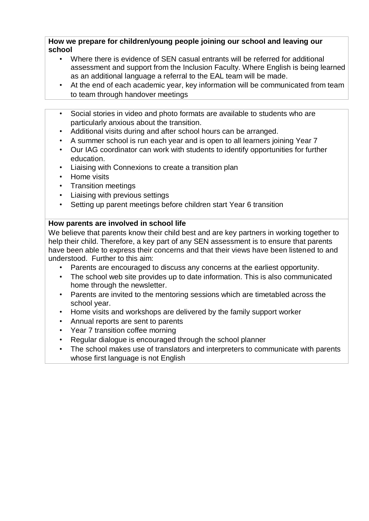**How we prepare for children/young people joining our school and leaving our school** 

- Where there is evidence of SEN casual entrants will be referred for additional assessment and support from the Inclusion Faculty. Where English is being learned as an additional language a referral to the EAL team will be made.
- At the end of each academic year, key information will be communicated from team to team through handover meetings
- Social stories in video and photo formats are available to students who are particularly anxious about the transition.
- Additional visits during and after school hours can be arranged.
- A summer school is run each year and is open to all learners joining Year 7
- Our IAG coordinator can work with students to identify opportunities for further education.
- Liaising with Connexions to create a transition plan
- Home visits
- Transition meetings
- Liaising with previous settings
- Setting up parent meetings before children start Year 6 transition

#### **How parents are involved in school life**

We believe that parents know their child best and are key partners in working together to help their child. Therefore, a key part of any SEN assessment is to ensure that parents have been able to express their concerns and that their views have been listened to and understood. Further to this aim:

- Parents are encouraged to discuss any concerns at the earliest opportunity.
- The school web site provides up to date information. This is also communicated home through the newsletter.
- Parents are invited to the mentoring sessions which are timetabled across the school year.
- Home visits and workshops are delivered by the family support worker
- Annual reports are sent to parents
- Year 7 transition coffee morning
- Regular dialogue is encouraged through the school planner
- The school makes use of translators and interpreters to communicate with parents whose first language is not English